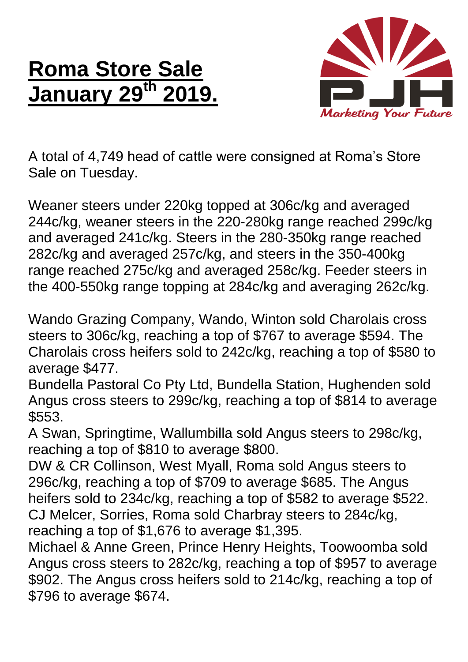## **Roma Store Sale January 29 th 2019.**



A total of 4,749 head of cattle were consigned at Roma's Store Sale on Tuesday.

Weaner steers under 220kg topped at 306c/kg and averaged 244c/kg, weaner steers in the 220-280kg range reached 299c/kg and averaged 241c/kg. Steers in the 280-350kg range reached 282c/kg and averaged 257c/kg, and steers in the 350-400kg range reached 275c/kg and averaged 258c/kg. Feeder steers in the 400-550kg range topping at 284c/kg and averaging 262c/kg.

Wando Grazing Company, Wando, Winton sold Charolais cross steers to 306c/kg, reaching a top of \$767 to average \$594. The Charolais cross heifers sold to 242c/kg, reaching a top of \$580 to average \$477.

Bundella Pastoral Co Pty Ltd, Bundella Station, Hughenden sold Angus cross steers to 299c/kg, reaching a top of \$814 to average \$553.

A Swan, Springtime, Wallumbilla sold Angus steers to 298c/kg, reaching a top of \$810 to average \$800.

DW & CR Collinson, West Myall, Roma sold Angus steers to 296c/kg, reaching a top of \$709 to average \$685. The Angus heifers sold to 234c/kg, reaching a top of \$582 to average \$522. CJ Melcer, Sorries, Roma sold Charbray steers to 284c/kg, reaching a top of \$1,676 to average \$1,395.

Michael & Anne Green, Prince Henry Heights, Toowoomba sold Angus cross steers to 282c/kg, reaching a top of \$957 to average \$902. The Angus cross heifers sold to 214c/kg, reaching a top of \$796 to average \$674.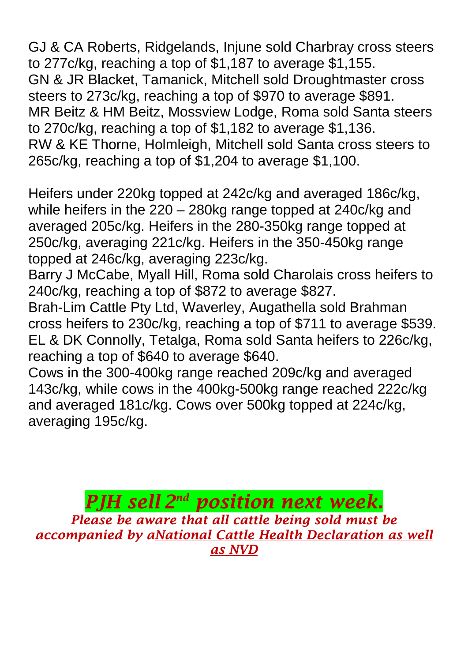GJ & CA Roberts, Ridgelands, Injune sold Charbray cross steers to 277c/kg, reaching a top of \$1,187 to average \$1,155. GN & JR Blacket, Tamanick, Mitchell sold Droughtmaster cross steers to 273c/kg, reaching a top of \$970 to average \$891. MR Beitz & HM Beitz, Mossview Lodge, Roma sold Santa steers to 270c/kg, reaching a top of \$1,182 to average \$1,136. RW & KE Thorne, Holmleigh, Mitchell sold Santa cross steers to 265c/kg, reaching a top of \$1,204 to average \$1,100.

Heifers under 220kg topped at 242c/kg and averaged 186c/kg, while heifers in the 220 – 280kg range topped at 240c/kg and averaged 205c/kg. Heifers in the 280-350kg range topped at 250c/kg, averaging 221c/kg. Heifers in the 350-450kg range topped at 246c/kg, averaging 223c/kg.

Barry J McCabe, Myall Hill, Roma sold Charolais cross heifers to 240c/kg, reaching a top of \$872 to average \$827.

Brah-Lim Cattle Pty Ltd, Waverley, Augathella sold Brahman cross heifers to 230c/kg, reaching a top of \$711 to average \$539. EL & DK Connolly, Tetalga, Roma sold Santa heifers to 226c/kg, reaching a top of \$640 to average \$640.

Cows in the 300-400kg range reached 209c/kg and averaged 143c/kg, while cows in the 400kg-500kg range reached 222c/kg and averaged 181c/kg. Cows over 500kg topped at 224c/kg, averaging 195c/kg.

*PJH sell 2 nd position next week. Please be aware that all cattle being sold must be accompanied by aNational Cattle Health Declaration as well as NVD*